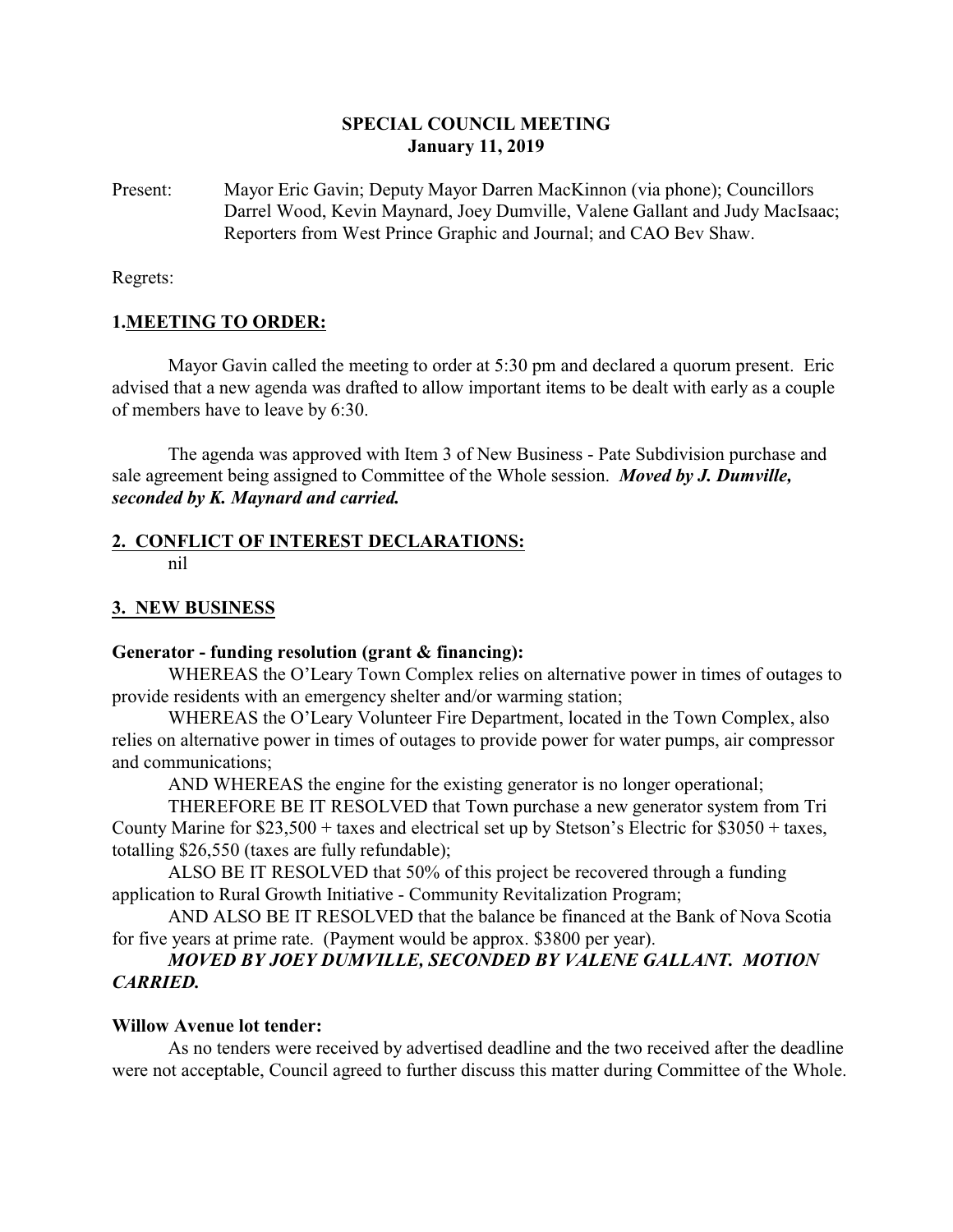### **SPECIAL COUNCIL MEETING January 11, 2019**

Present: Mayor Eric Gavin; Deputy Mayor Darren MacKinnon (via phone); Councillors Darrel Wood, Kevin Maynard, Joey Dumville, Valene Gallant and Judy MacIsaac; Reporters from West Prince Graphic and Journal; and CAO Bev Shaw.

Regrets:

#### **1.MEETING TO ORDER:**

Mayor Gavin called the meeting to order at 5:30 pm and declared a quorum present. Eric advised that a new agenda was drafted to allow important items to be dealt with early as a couple of members have to leave by 6:30.

The agenda was approved with Item 3 of New Business - Pate Subdivision purchase and sale agreement being assigned to Committee of the Whole session. *Moved by J. Dumville, seconded by K. Maynard and carried.*

# **2. CONFLICT OF INTEREST DECLARATIONS:**

nil

## **3. NEW BUSINESS**

#### **Generator - funding resolution (grant & financing):**

WHEREAS the O'Leary Town Complex relies on alternative power in times of outages to provide residents with an emergency shelter and/or warming station;

WHEREAS the O'Leary Volunteer Fire Department, located in the Town Complex, also relies on alternative power in times of outages to provide power for water pumps, air compressor and communications;

AND WHEREAS the engine for the existing generator is no longer operational;

THEREFORE BE IT RESOLVED that Town purchase a new generator system from Tri County Marine for \$23,500 + taxes and electrical set up by Stetson's Electric for \$3050 + taxes, totalling \$26,550 (taxes are fully refundable);

ALSO BE IT RESOLVED that 50% of this project be recovered through a funding application to Rural Growth Initiative - Community Revitalization Program;

AND ALSO BE IT RESOLVED that the balance be financed at the Bank of Nova Scotia for five years at prime rate. (Payment would be approx. \$3800 per year).

### *MOVED BY JOEY DUMVILLE, SECONDED BY VALENE GALLANT. MOTION CARRIED.*

#### **Willow Avenue lot tender:**

As no tenders were received by advertised deadline and the two received after the deadline were not acceptable, Council agreed to further discuss this matter during Committee of the Whole.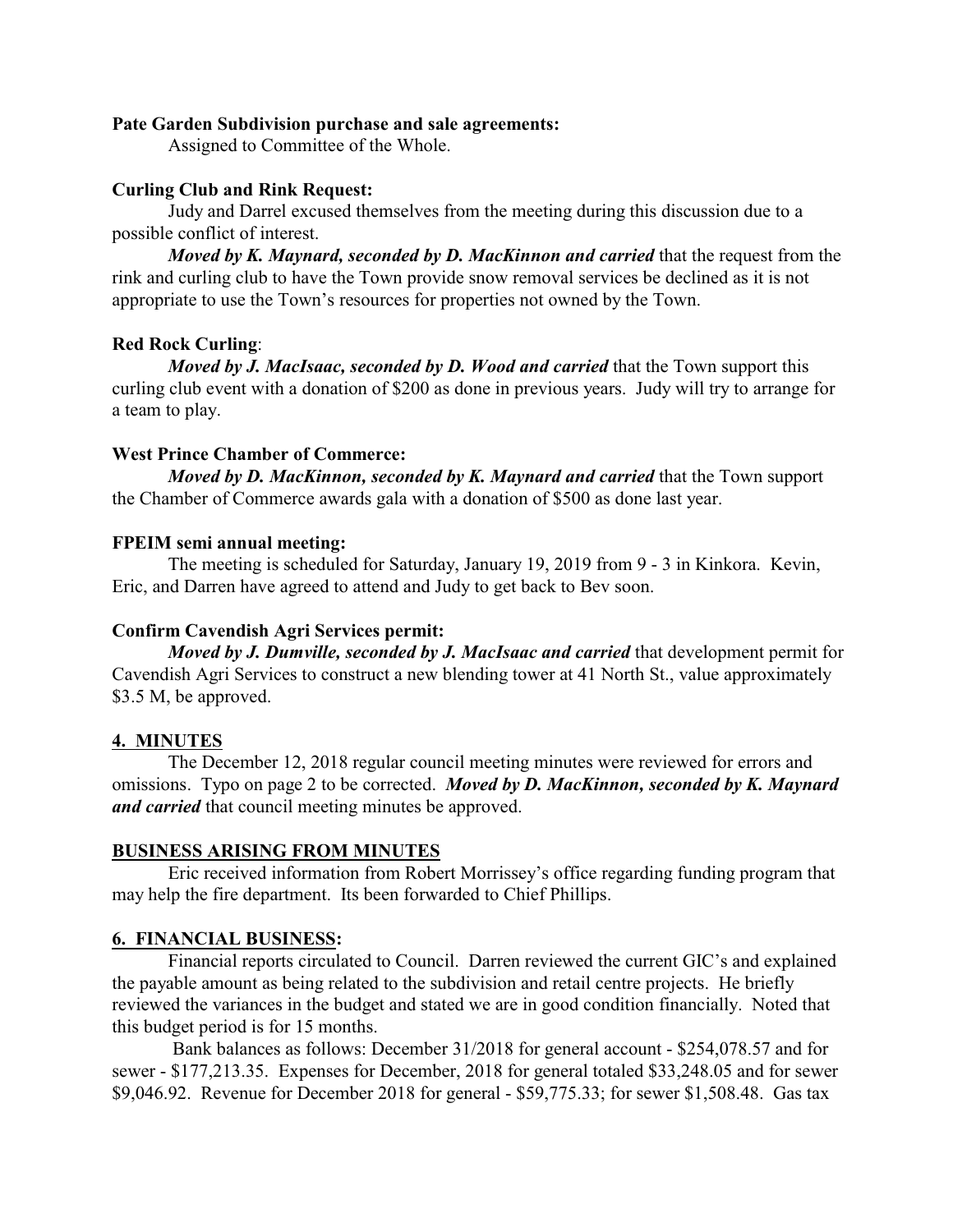#### **Pate Garden Subdivision purchase and sale agreements:**

Assigned to Committee of the Whole.

#### **Curling Club and Rink Request:**

Judy and Darrel excused themselves from the meeting during this discussion due to a possible conflict of interest.

*Moved by K. Maynard, seconded by D. MacKinnon and carried* that the request from the rink and curling club to have the Town provide snow removal services be declined as it is not appropriate to use the Town's resources for properties not owned by the Town.

#### **Red Rock Curling**:

*Moved by J. MacIsaac, seconded by D. Wood and carried* that the Town support this curling club event with a donation of \$200 as done in previous years. Judy will try to arrange for a team to play.

### **West Prince Chamber of Commerce:**

*Moved by D. MacKinnon, seconded by K. Maynard and carried* that the Town support the Chamber of Commerce awards gala with a donation of \$500 as done last year.

### **FPEIM semi annual meeting:**

The meeting is scheduled for Saturday, January 19, 2019 from 9 - 3 in Kinkora. Kevin, Eric, and Darren have agreed to attend and Judy to get back to Bev soon.

### **Confirm Cavendish Agri Services permit:**

*Moved by J. Dumville, seconded by J. MacIsaac and carried that development permit for* Cavendish Agri Services to construct a new blending tower at 41 North St., value approximately \$3.5 M, be approved.

#### **4. MINUTES**

The December 12, 2018 regular council meeting minutes were reviewed for errors and omissions. Typo on page 2 to be corrected. *Moved by D. MacKinnon, seconded by K. Maynard and carried* that council meeting minutes be approved.

#### **BUSINESS ARISING FROM MINUTES**

Eric received information from Robert Morrissey's office regarding funding program that may help the fire department. Its been forwarded to Chief Phillips.

### **6. FINANCIAL BUSINESS:**

Financial reports circulated to Council. Darren reviewed the current GIC's and explained the payable amount as being related to the subdivision and retail centre projects. He briefly reviewed the variances in the budget and stated we are in good condition financially. Noted that this budget period is for 15 months.

 Bank balances as follows: December 31/2018 for general account - \$254,078.57 and for sewer - \$177,213.35. Expenses for December, 2018 for general totaled \$33,248.05 and for sewer \$9,046.92. Revenue for December 2018 for general - \$59,775.33; for sewer \$1,508.48. Gas tax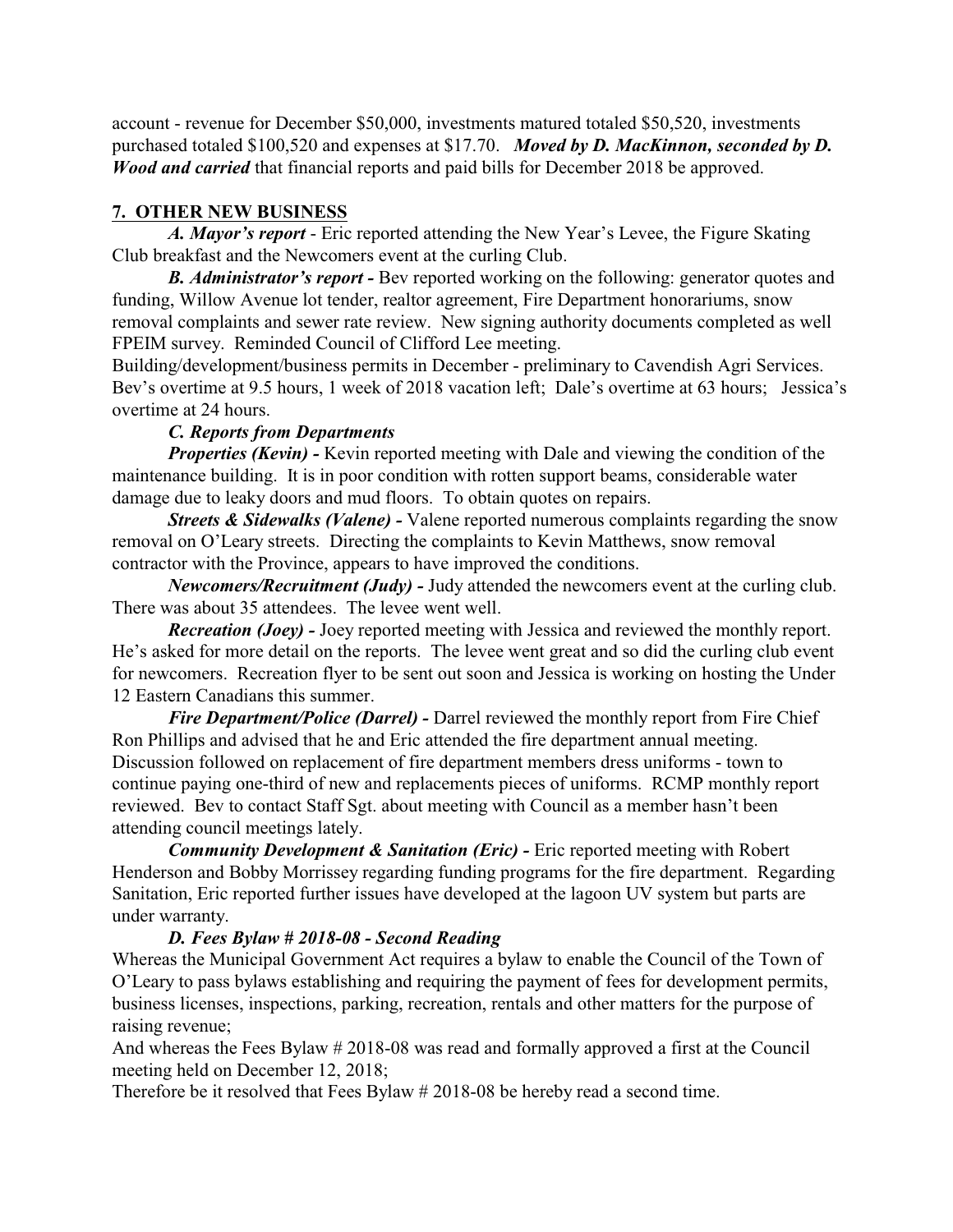account - revenue for December \$50,000, investments matured totaled \$50,520, investments purchased totaled \$100,520 and expenses at \$17.70. *Moved by D. MacKinnon, seconded by D. Wood and carried* that financial reports and paid bills for December 2018 be approved.

### **7. OTHER NEW BUSINESS**

*A. Mayor's report* - Eric reported attending the New Year's Levee, the Figure Skating Club breakfast and the Newcomers event at the curling Club.

*B. Administrator's report -* Bev reported working on the following: generator quotes and funding, Willow Avenue lot tender, realtor agreement, Fire Department honorariums, snow removal complaints and sewer rate review. New signing authority documents completed as well FPEIM survey. Reminded Council of Clifford Lee meeting.

Building/development/business permits in December - preliminary to Cavendish Agri Services. Bev's overtime at 9.5 hours, 1 week of 2018 vacation left; Dale's overtime at 63 hours; Jessica's overtime at 24 hours.

# *C. Reports from Departments*

*Properties (Kevin)* - Kevin reported meeting with Dale and viewing the condition of the maintenance building. It is in poor condition with rotten support beams, considerable water damage due to leaky doors and mud floors. To obtain quotes on repairs.

*Streets & Sidewalks (Valene) -* Valene reported numerous complaints regarding the snow removal on O'Leary streets. Directing the complaints to Kevin Matthews, snow removal contractor with the Province, appears to have improved the conditions.

*Newcomers/Recruitment (Judy) -* Judy attended the newcomers event at the curling club. There was about 35 attendees. The levee went well.

*Recreation (Joey) -* Joey reported meeting with Jessica and reviewed the monthly report. He's asked for more detail on the reports. The levee went great and so did the curling club event for newcomers. Recreation flyer to be sent out soon and Jessica is working on hosting the Under 12 Eastern Canadians this summer.

*Fire Department/Police (Darrel)* - Darrel reviewed the monthly report from Fire Chief Ron Phillips and advised that he and Eric attended the fire department annual meeting. Discussion followed on replacement of fire department members dress uniforms - town to continue paying one-third of new and replacements pieces of uniforms. RCMP monthly report reviewed. Bev to contact Staff Sgt. about meeting with Council as a member hasn't been attending council meetings lately.

*Community Development & Sanitation (Eric) -* Eric reported meeting with Robert Henderson and Bobby Morrissey regarding funding programs for the fire department. Regarding Sanitation, Eric reported further issues have developed at the lagoon UV system but parts are under warranty.

### *D. Fees Bylaw # 2018-08 - Second Reading*

Whereas the Municipal Government Act requires a bylaw to enable the Council of the Town of O'Leary to pass bylaws establishing and requiring the payment of fees for development permits, business licenses, inspections, parking, recreation, rentals and other matters for the purpose of raising revenue;

And whereas the Fees Bylaw # 2018-08 was read and formally approved a first at the Council meeting held on December 12, 2018;

Therefore be it resolved that Fees Bylaw # 2018-08 be hereby read a second time.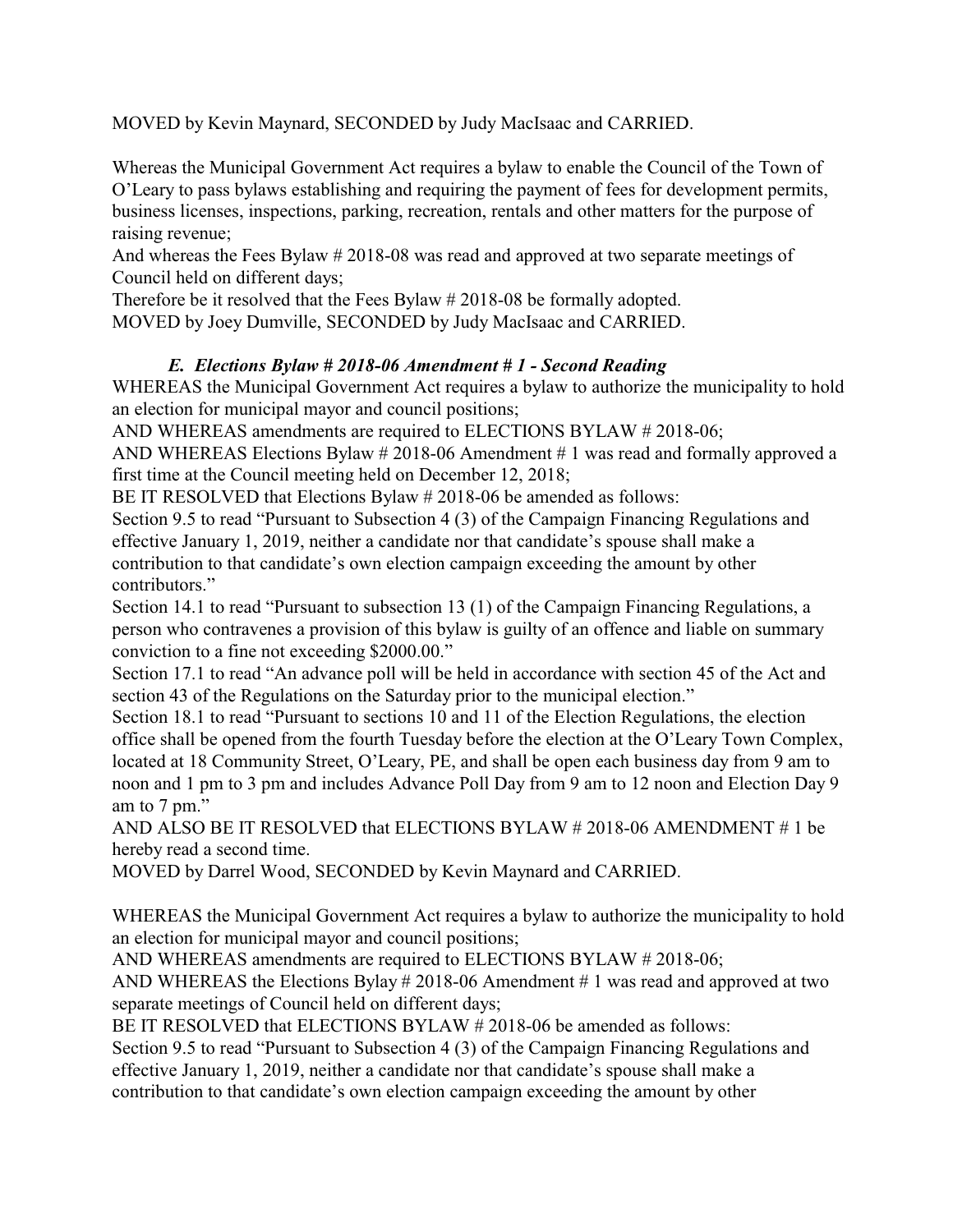MOVED by Kevin Maynard, SECONDED by Judy MacIsaac and CARRIED.

Whereas the Municipal Government Act requires a bylaw to enable the Council of the Town of O'Leary to pass bylaws establishing and requiring the payment of fees for development permits, business licenses, inspections, parking, recreation, rentals and other matters for the purpose of raising revenue;

And whereas the Fees Bylaw # 2018-08 was read and approved at two separate meetings of Council held on different days;

Therefore be it resolved that the Fees Bylaw # 2018-08 be formally adopted. MOVED by Joey Dumville, SECONDED by Judy MacIsaac and CARRIED.

# *E. Elections Bylaw # 2018-06 Amendment # 1 - Second Reading*

WHEREAS the Municipal Government Act requires a bylaw to authorize the municipality to hold an election for municipal mayor and council positions;

AND WHEREAS amendments are required to ELECTIONS BYLAW # 2018-06;

AND WHEREAS Elections Bylaw # 2018-06 Amendment # 1 was read and formally approved a first time at the Council meeting held on December 12, 2018;

BE IT RESOLVED that Elections Bylaw # 2018-06 be amended as follows:

Section 9.5 to read "Pursuant to Subsection 4 (3) of the Campaign Financing Regulations and effective January 1, 2019, neither a candidate nor that candidate's spouse shall make a contribution to that candidate's own election campaign exceeding the amount by other contributors."

Section 14.1 to read "Pursuant to subsection 13 (1) of the Campaign Financing Regulations, a person who contravenes a provision of this bylaw is guilty of an offence and liable on summary conviction to a fine not exceeding \$2000.00."

Section 17.1 to read "An advance poll will be held in accordance with section 45 of the Act and section 43 of the Regulations on the Saturday prior to the municipal election."

Section 18.1 to read "Pursuant to sections 10 and 11 of the Election Regulations, the election office shall be opened from the fourth Tuesday before the election at the O'Leary Town Complex, located at 18 Community Street, O'Leary, PE, and shall be open each business day from 9 am to noon and 1 pm to 3 pm and includes Advance Poll Day from 9 am to 12 noon and Election Day 9 am to 7 pm."

AND ALSO BE IT RESOLVED that ELECTIONS BYLAW # 2018-06 AMENDMENT # 1 be hereby read a second time.

MOVED by Darrel Wood, SECONDED by Kevin Maynard and CARRIED.

WHEREAS the Municipal Government Act requires a bylaw to authorize the municipality to hold an election for municipal mayor and council positions;

AND WHEREAS amendments are required to ELECTIONS BYLAW # 2018-06;

AND WHEREAS the Elections Bylay # 2018-06 Amendment # 1 was read and approved at two separate meetings of Council held on different days;

BE IT RESOLVED that ELECTIONS BYLAW # 2018-06 be amended as follows:

Section 9.5 to read "Pursuant to Subsection 4 (3) of the Campaign Financing Regulations and effective January 1, 2019, neither a candidate nor that candidate's spouse shall make a contribution to that candidate's own election campaign exceeding the amount by other